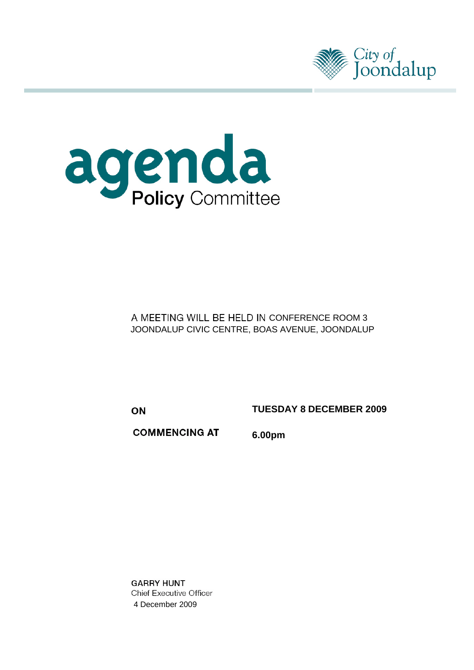



A MEETING WILL BE HELD IN CONFERENCE ROOM 3 JOONDALUP CIVIC CENTRE, BOAS AVENUE, JOONDALUP

ON

**TUESDAY 8 DECEMBER 2009** 

**COMMENCING AT** 

**6.00pm**

**GARRY HUNT Chief Executive Officer** 4 December 2009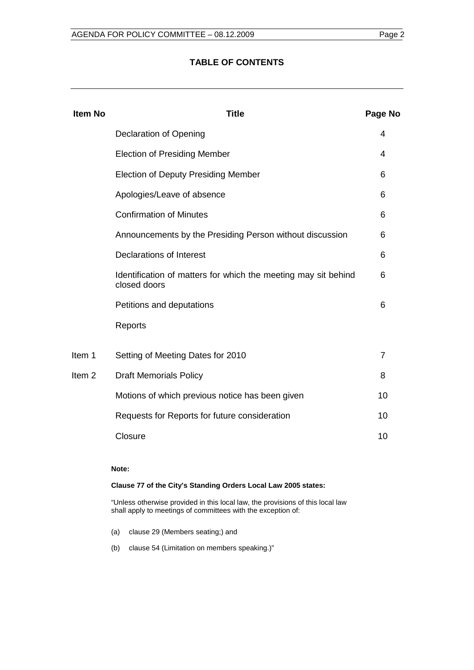### **TABLE OF CONTENTS**

| <b>Item No</b>    | Title                                                                          | Page No        |
|-------------------|--------------------------------------------------------------------------------|----------------|
|                   | <b>Declaration of Opening</b>                                                  | 4              |
|                   | <b>Election of Presiding Member</b>                                            | 4              |
|                   | <b>Election of Deputy Presiding Member</b>                                     | 6              |
|                   | Apologies/Leave of absence                                                     | 6              |
|                   | <b>Confirmation of Minutes</b>                                                 | 6              |
|                   | Announcements by the Presiding Person without discussion                       | 6              |
|                   | <b>Declarations of Interest</b>                                                | 6              |
|                   | Identification of matters for which the meeting may sit behind<br>closed doors | 6              |
|                   | Petitions and deputations                                                      | 6              |
|                   | Reports                                                                        |                |
| Item 1            | Setting of Meeting Dates for 2010                                              | $\overline{7}$ |
| Item <sub>2</sub> | <b>Draft Memorials Policy</b>                                                  | 8              |
|                   | Motions of which previous notice has been given                                | 10             |
|                   | Requests for Reports for future consideration                                  | 10             |
|                   | Closure                                                                        | 10             |
|                   |                                                                                |                |

#### **Note:**

#### **Clause 77 of the City's Standing Orders Local Law 2005 states:**

"Unless otherwise provided in this local law, the provisions of this local law shall apply to meetings of committees with the exception of:

- (a) clause 29 (Members seating;) and
- (b) clause 54 (Limitation on members speaking.)"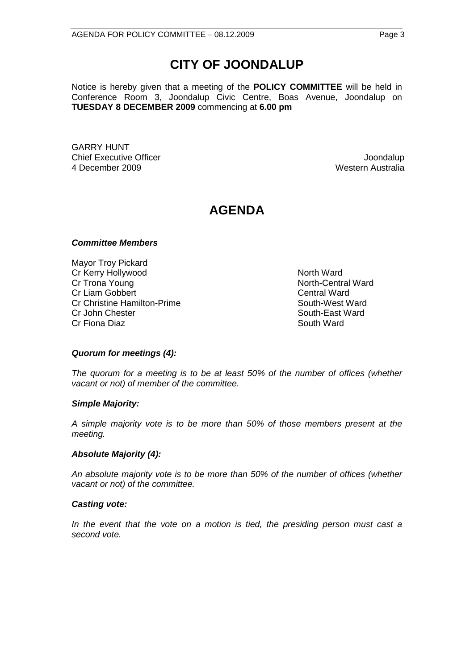# **CITY OF JOONDALUP**

Notice is hereby given that a meeting of the **POLICY COMMITTEE** will be held in Conference Room 3, Joondalup Civic Centre, Boas Avenue, Joondalup on **TUESDAY 8 DECEMBER 2009** commencing at **6.00 pm**

GARRY HUNT Chief Executive Officer Joondalup 4 December 2009 Western Australia

## **AGENDA**

#### *Committee Members*

Mayor Troy Pickard Cr Kerry Hollywood North Ward<br>
Cr Trona Young North-Centr Cr Liam Gobbert Cr Liam Gobbert Cr Liam Gobbert Cr Liam Central Ward<br>Cr Christine Hamilton-Prime Cr Christine South-West Ward Cr Christine Hamilton-Prime Cr John Chester South-East Ward Cr Fiona Diaz **South Ward** South Ward

North-Central Ward

### *Quorum for meetings (4):*

*The quorum for a meeting is to be at least 50% of the number of offices (whether vacant or not) of member of the committee.*

#### *Simple Majority:*

*A simple majority vote is to be more than 50% of those members present at the meeting.*

#### *Absolute Majority (4):*

*An absolute majority vote is to be more than 50% of the number of offices (whether vacant or not) of the committee.*

#### *Casting vote:*

*In the event that the vote on a motion is tied, the presiding person must cast a second vote.*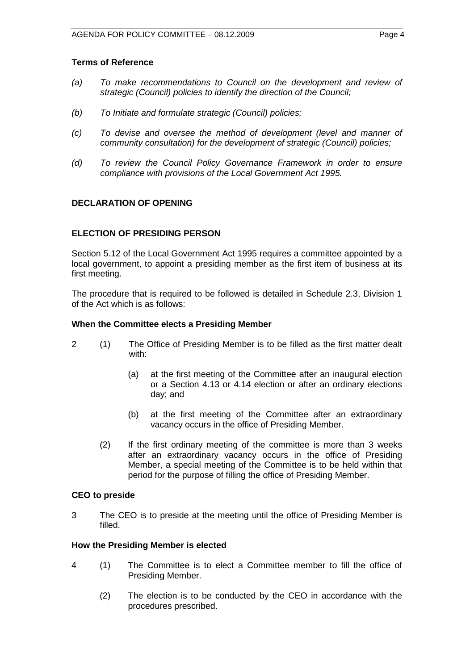#### <span id="page-3-0"></span>**Terms of Reference**

- *(a) To make recommendations to Council on the development and review of strategic (Council) policies to identify the direction of the Council;*
- *(b) To Initiate and formulate strategic (Council) policies;*
- *(c) To devise and oversee the method of development (level and manner of community consultation) for the development of strategic (Council) policies;*
- *(d) To review the Council Policy Governance Framework in order to ensure compliance with provisions of the Local Government Act 1995.*

### **DECLARATION OF OPENING**

#### **ELECTION OF PRESIDING PERSON**

Section 5.12 of the Local Government Act 1995 requires a committee appointed by a local government, to appoint a presiding member as the first item of business at its first meeting.

The procedure that is required to be followed is detailed in Schedule 2.3, Division 1 of the Act which is as follows:

#### **When the Committee elects a Presiding Member**

- 2 (1) The Office of Presiding Member is to be filled as the first matter dealt with:
	- (a) at the first meeting of the Committee after an inaugural election or a Section 4.13 or 4.14 election or after an ordinary elections day; and
	- (b) at the first meeting of the Committee after an extraordinary vacancy occurs in the office of Presiding Member.
	- (2) If the first ordinary meeting of the committee is more than 3 weeks after an extraordinary vacancy occurs in the office of Presiding Member, a special meeting of the Committee is to be held within that period for the purpose of filling the office of Presiding Member.

#### **CEO to preside**

3 The CEO is to preside at the meeting until the office of Presiding Member is filled.

#### **How the Presiding Member is elected**

- 4 (1) The Committee is to elect a Committee member to fill the office of Presiding Member.
	- (2) The election is to be conducted by the CEO in accordance with the procedures prescribed.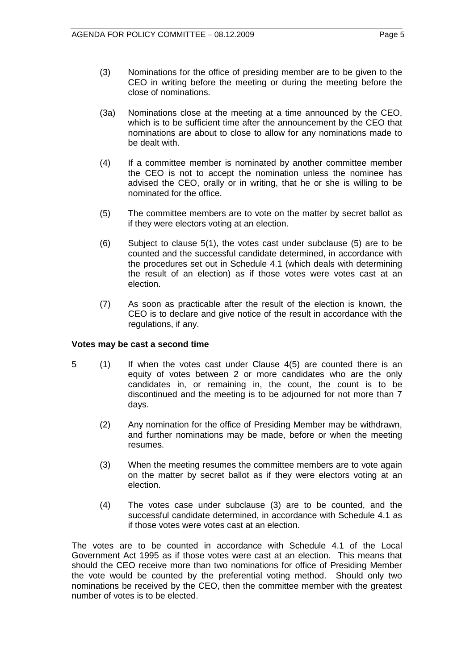- (3) Nominations for the office of presiding member are to be given to the CEO in writing before the meeting or during the meeting before the close of nominations.
- (3a) Nominations close at the meeting at a time announced by the CEO, which is to be sufficient time after the announcement by the CEO that nominations are about to close to allow for any nominations made to be dealt with.
- (4) If a committee member is nominated by another committee member the CEO is not to accept the nomination unless the nominee has advised the CEO, orally or in writing, that he or she is willing to be nominated for the office.
- (5) The committee members are to vote on the matter by secret ballot as if they were electors voting at an election.
- (6) Subject to clause 5(1), the votes cast under subclause (5) are to be counted and the successful candidate determined, in accordance with the procedures set out in Schedule 4.1 (which deals with determining the result of an election) as if those votes were votes cast at an election.
- (7) As soon as practicable after the result of the election is known, the CEO is to declare and give notice of the result in accordance with the regulations, if any.

### **Votes may be cast a second time**

- 5 (1) If when the votes cast under Clause 4(5) are counted there is an equity of votes between 2 or more candidates who are the only candidates in, or remaining in, the count, the count is to be discontinued and the meeting is to be adjourned for not more than 7 days.
	- (2) Any nomination for the office of Presiding Member may be withdrawn, and further nominations may be made, before or when the meeting resumes.
	- (3) When the meeting resumes the committee members are to vote again on the matter by secret ballot as if they were electors voting at an election.
	- (4) The votes case under subclause (3) are to be counted, and the successful candidate determined, in accordance with Schedule 4.1 as if those votes were votes cast at an election.

The votes are to be counted in accordance with Schedule 4.1 of the Local Government Act 1995 as if those votes were cast at an election. This means that should the CEO receive more than two nominations for office of Presiding Member the vote would be counted by the preferential voting method. Should only two nominations be received by the CEO, then the committee member with the greatest number of votes is to be elected.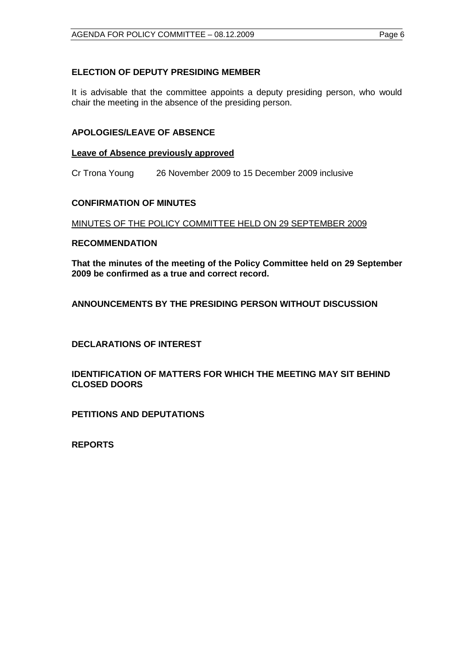<span id="page-5-0"></span>It is advisable that the committee appoints a deputy presiding person, who would chair the meeting in the absence of the presiding person.

#### **APOLOGIES/LEAVE OF ABSENCE**

#### **Leave of Absence previously approved**

Cr Trona Young 26 November 2009 to 15 December 2009 inclusive

### **CONFIRMATION OF MINUTES**

### MINUTES OF THE POLICY COMMITTEE HELD ON 29 SEPTEMBER 2009

#### **RECOMMENDATION**

**That the minutes of the meeting of the Policy Committee held on 29 September 2009 be confirmed as a true and correct record.**

**ANNOUNCEMENTS BY THE PRESIDING PERSON WITHOUT DISCUSSION**

**DECLARATIONS OF INTEREST**

**IDENTIFICATION OF MATTERS FOR WHICH THE MEETING MAY SIT BEHIND CLOSED DOORS**

**PETITIONS AND DEPUTATIONS**

**REPORTS**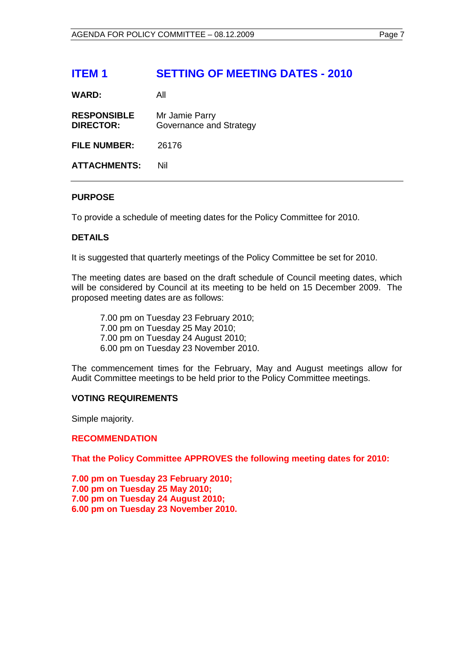## <span id="page-6-0"></span>**ITEM 1 SETTING OF MEETING DATES - 2010**

| WARD: |  | All |
|-------|--|-----|
|       |  |     |

| <b>RESPONSIBLE</b><br><b>DIRECTOR:</b> | Mr Jamie Parry<br>Governance and Strategy |
|----------------------------------------|-------------------------------------------|
| <b>FILE NUMBER:</b>                    | 26176                                     |
| <b>ATTACHMENTS:</b>                    | Nil                                       |

#### **PURPOSE**

To provide a schedule of meeting dates for the Policy Committee for 2010.

#### **DETAILS**

It is suggested that quarterly meetings of the Policy Committee be set for 2010.

The meeting dates are based on the draft schedule of Council meeting dates, which will be considered by Council at its meeting to be held on 15 December 2009. The proposed meeting dates are as follows:

7.00 pm on Tuesday 23 February 2010; 7.00 pm on Tuesday 25 May 2010; 7.00 pm on Tuesday 24 August 2010; 6.00 pm on Tuesday 23 November 2010.

The commencement times for the February, May and August meetings allow for Audit Committee meetings to be held prior to the Policy Committee meetings.

#### **VOTING REQUIREMENTS**

Simple majority.

#### **RECOMMENDATION**

**That the Policy Committee APPROVES the following meeting dates for 2010:**

**7.00 pm on Tuesday 23 February 2010; 7.00 pm on Tuesday 25 May 2010; 7.00 pm on Tuesday 24 August 2010; 6.00 pm on Tuesday 23 November 2010.**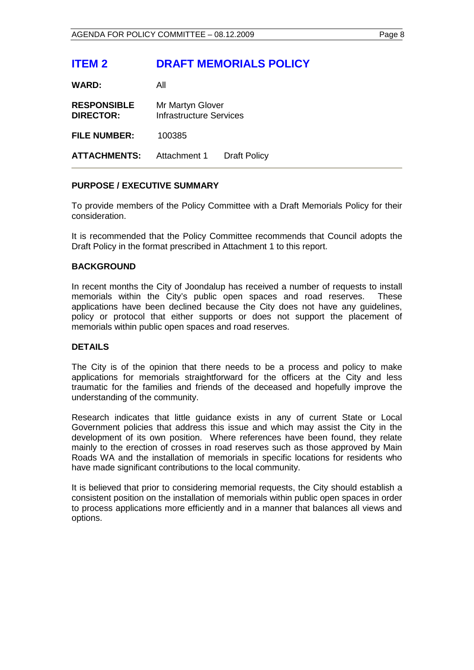## <span id="page-7-0"></span>**ITEM 2 DRAFT MEMORIALS POLICY**

**WARD:** All

| <b>RESPONSIBLE</b><br><b>DIRECTOR:</b> | Mr Martyn Glover<br>Infrastructure Services |                     |
|----------------------------------------|---------------------------------------------|---------------------|
| <b>FILE NUMBER:</b>                    | 100385                                      |                     |
| <b>ATTACHMENTS:</b>                    | Attachment 1                                | <b>Draft Policy</b> |

### **PURPOSE / EXECUTIVE SUMMARY**

To provide members of the Policy Committee with a Draft Memorials Policy for their consideration.

It is recommended that the Policy Committee recommends that Council adopts the Draft Policy in the format prescribed in Attachment 1 to this report.

#### **BACKGROUND**

In recent months the City of Joondalup has received a number of requests to install memorials within the City's public open spaces and road reserves. These applications have been declined because the City does not have any guidelines, policy or protocol that either supports or does not support the placement of memorials within public open spaces and road reserves.

### **DETAILS**

The City is of the opinion that there needs to be a process and policy to make applications for memorials straightforward for the officers at the City and less traumatic for the families and friends of the deceased and hopefully improve the understanding of the community.

Research indicates that little guidance exists in any of current State or Local Government policies that address this issue and which may assist the City in the development of its own position. Where references have been found, they relate mainly to the erection of crosses in road reserves such as those approved by Main Roads WA and the installation of memorials in specific locations for residents who have made significant contributions to the local community.

It is believed that prior to considering memorial requests, the City should establish a consistent position on the installation of memorials within public open spaces in order to process applications more efficiently and in a manner that balances all views and options.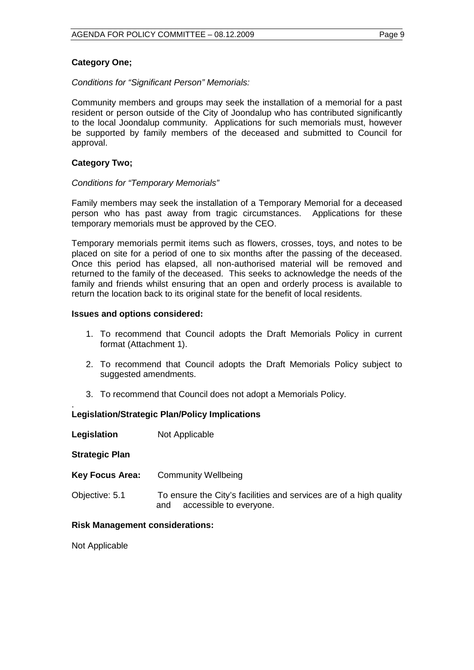### **Category One;**

#### *Conditions for "Significant Person" Memorials:*

Community members and groups may seek the installation of a memorial for a past resident or person outside of the City of Joondalup who has contributed significantly to the local Joondalup community. Applications for such memorials must, however be supported by family members of the deceased and submitted to Council for approval.

#### **Category Two;**

#### *Conditions for "Temporary Memorials"*

Family members may seek the installation of a Temporary Memorial for a deceased person who has past away from tragic circumstances. Applications for these temporary memorials must be approved by the CEO.

Temporary memorials permit items such as flowers, crosses, toys, and notes to be placed on site for a period of one to six months after the passing of the deceased. Once this period has elapsed, all non-authorised material will be removed and returned to the family of the deceased. This seeks to acknowledge the needs of the family and friends whilst ensuring that an open and orderly process is available to return the location back to its original state for the benefit of local residents.

#### **Issues and options considered:**

- 1. To recommend that Council adopts the Draft Memorials Policy in current format (Attachment 1).
- 2. To recommend that Council adopts the Draft Memorials Policy subject to suggested amendments.
- 3. To recommend that Council does not adopt a Memorials Policy.

#### . **Legislation/Strategic Plan/Policy Implications**

| Legislation | Not Applicable |
|-------------|----------------|
|-------------|----------------|

#### **Strategic Plan**

| <b>Key Focus Area:</b> | Community Wellbeing                                                                                  |
|------------------------|------------------------------------------------------------------------------------------------------|
| Objective: 5.1         | To ensure the City's facilities and services are of a high quality<br>accessible to everyone.<br>and |

#### **Risk Management considerations:**

Not Applicable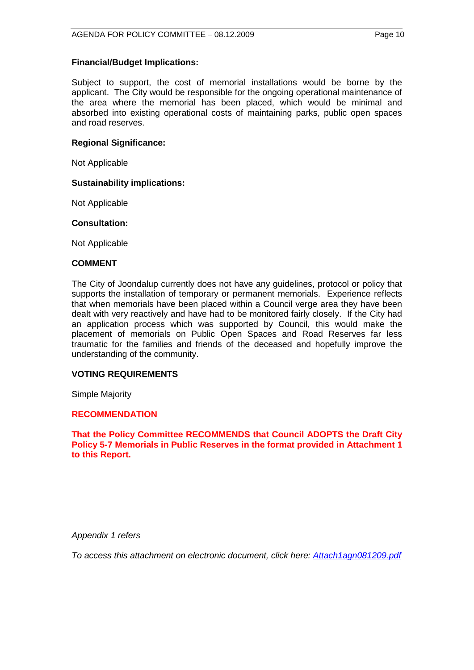#### **Financial/Budget Implications:**

Subject to support, the cost of memorial installations would be borne by the applicant. The City would be responsible for the ongoing operational maintenance of the area where the memorial has been placed, which would be minimal and absorbed into existing operational costs of maintaining parks, public open spaces and road reserves.

#### **Regional Significance:**

Not Applicable

#### **Sustainability implications:**

Not Applicable

#### **Consultation:**

Not Applicable

#### **COMMENT**

The City of Joondalup currently does not have any guidelines, protocol or policy that supports the installation of temporary or permanent memorials. Experience reflects that when memorials have been placed within a Council verge area they have been dealt with very reactively and have had to be monitored fairly closely. If the City had an application process which was supported by Council, this would make the placement of memorials on Public Open Spaces and Road Reserves far less traumatic for the families and friends of the deceased and hopefully improve the understanding of the community.

#### **VOTING REQUIREMENTS**

Simple Majority

#### **RECOMMENDATION**

**That the Policy Committee RECOMMENDS that Council ADOPTS the Draft City Policy 5-7 Memorials in Public Reserves in the format provided in Attachment 1 to this Report.**

*Appendix 1 refers*

*To access this attachment on electronic document, click here: Attach1agn081209.pdf*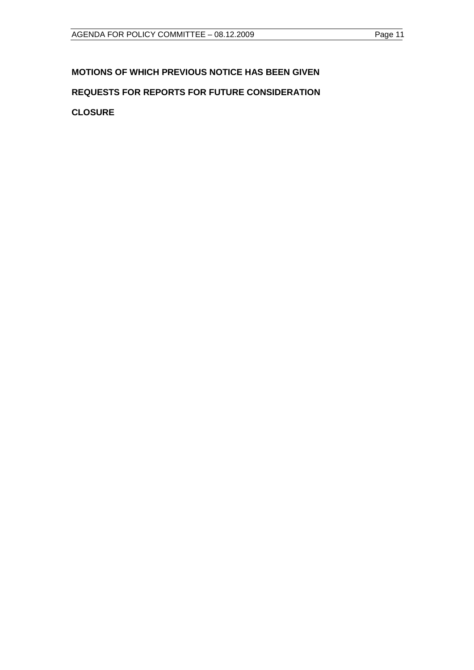## <span id="page-10-0"></span>**MOTIONS OF WHICH PREVIOUS NOTICE HAS BEEN GIVEN**

## **REQUESTS FOR REPORTS FOR FUTURE CONSIDERATION**

**CLOSURE**